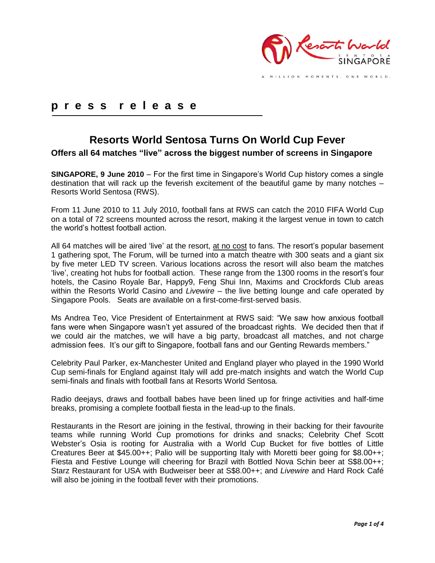

MILLION MOMENTS. ONE WORLD.

## **p r e s s r e l e a s e**

# **Resorts World Sentosa Turns On World Cup Fever**

**Offers all 64 matches "live" across the biggest number of screens in Singapore**

**SINGAPORE, 9 June 2010** – For the first time in Singapore"s World Cup history comes a single destination that will rack up the feverish excitement of the beautiful game by many notches – Resorts World Sentosa (RWS).

From 11 June 2010 to 11 July 2010, football fans at RWS can catch the 2010 FIFA World Cup on a total of 72 screens mounted across the resort, making it the largest venue in town to catch the world"s hottest football action.

All 64 matches will be aired 'live' at the resort, at no cost to fans. The resort's popular basement 1 gathering spot, The Forum, will be turned into a match theatre with 300 seats and a giant six by five meter LED TV screen. Various locations across the resort will also beam the matches "live", creating hot hubs for football action. These range from the 1300 rooms in the resort"s four hotels, the Casino Royale Bar, Happy9, Feng Shui Inn, Maxims and Crockfords Club areas within the Resorts World Casino and *Livewire –* the live betting lounge and cafe operated by Singapore Pools. Seats are available on a first-come-first-served basis.

Ms Andrea Teo, Vice President of Entertainment at RWS said: "We saw how anxious football fans were when Singapore wasn't yet assured of the broadcast rights. We decided then that if we could air the matches, we will have a big party, broadcast all matches, and not charge admission fees. It's our gift to Singapore, football fans and our Genting Rewards members."

Celebrity Paul Parker, ex-Manchester United and England player who played in the 1990 World Cup semi-finals for England against Italy will add pre-match insights and watch the World Cup semi-finals and finals with football fans at Resorts World Sentosa.

Radio deejays, draws and football babes have been lined up for fringe activities and half-time breaks, promising a complete football fiesta in the lead-up to the finals.

Restaurants in the Resort are joining in the festival, throwing in their backing for their favourite teams while running World Cup promotions for drinks and snacks; Celebrity Chef Scott Webster"s Osia is rooting for Australia with a World Cup Bucket for five bottles of Little Creatures Beer at \$45.00++; Palio will be supporting Italy with Moretti beer going for \$8.00++; Fiesta and Festive Lounge will cheering for Brazil with Bottled Nova Schin beer at S\$8.00++; Starz Restaurant for USA with Budweiser beer at S\$8.00++; and *Livewire* and Hard Rock Café will also be joining in the football fever with their promotions.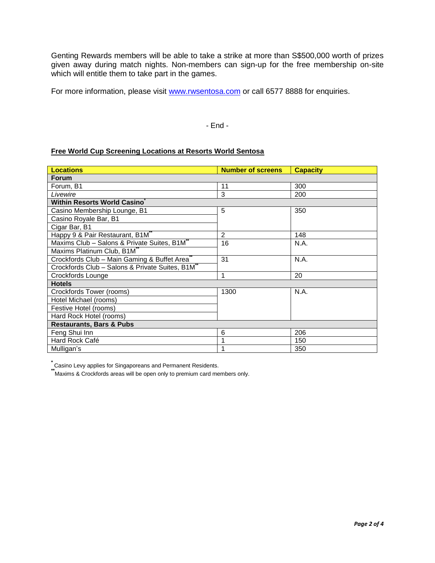Genting Rewards members will be able to take a strike at more than S\$500,000 worth of prizes given away during match nights. Non-members can sign-up for the free membership on-site which will entitle them to take part in the games.

For more information, please visit [www.rwsentosa.com](http://www.rwsentosa.com/) or call 6577 8888 for enquiries.

#### - End -

#### **Free World Cup Screening Locations at Resorts World Sentosa**

| <b>Locations</b>                                         | <b>Number of screens</b> | <b>Capacity</b> |
|----------------------------------------------------------|--------------------------|-----------------|
| <b>Forum</b>                                             |                          |                 |
| Forum, B1                                                | 11                       | 300             |
| Livewire                                                 | 3                        | 200             |
| <b>Within Resorts World Casino</b>                       |                          |                 |
| Casino Membership Lounge, B1                             | 5                        | 350             |
| Casino Royale Bar, B1                                    |                          |                 |
| Cigar Bar, B1                                            |                          |                 |
| Happy 9 & Pair Restaurant, B1M"                          | 2                        | 148             |
| Maxims Club - Salons & Private Suites, B1M"              | 16                       | N.A.            |
| Maxims Platinum Club, B1M"                               |                          |                 |
| Crockfords Club - Main Gaming & Buffet Area <sup>®</sup> | 31                       | N.A.            |
| Crockfords Club - Salons & Private Suites, B1M**         |                          |                 |
| Crockfords Lounge                                        | 1                        | 20              |
| <b>Hotels</b>                                            |                          |                 |
| Crockfords Tower (rooms)                                 | 1300                     | N.A.            |
| Hotel Michael (rooms)                                    |                          |                 |
| Festive Hotel (rooms)                                    |                          |                 |
| Hard Rock Hotel (rooms)                                  |                          |                 |
| <b>Restaurants, Bars &amp; Pubs</b>                      |                          |                 |
| Feng Shui Inn                                            | 6                        | 206             |
| Hard Rock Café                                           |                          | 150             |
| Mulligan's                                               |                          | 350             |

**\*** Casino Levy applies for Singaporeans and Permanent Residents.

**\*\***Maxims & Crockfords areas will be open only to premium card members only.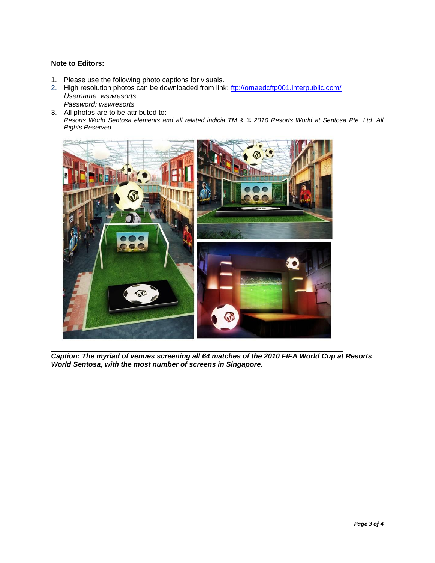### **Note to Editors:**

- 1. Please use the following photo captions for visuals.
- 2. High resolution photos can be downloaded from link:<ftp://omaedcftp001.interpublic.com/> *Username: wswresorts Password: wswresorts*
- 3. All photos are to be attributed to: *Resorts World Sentosa elements and all related indicia TM & © 2010 Resorts World at Sentosa Pte. Ltd. All Rights Reserved.*



*Caption: The myriad of venues screening all 64 matches of the 2010 FIFA World Cup at Resorts World Sentosa, with the most number of screens in Singapore.*